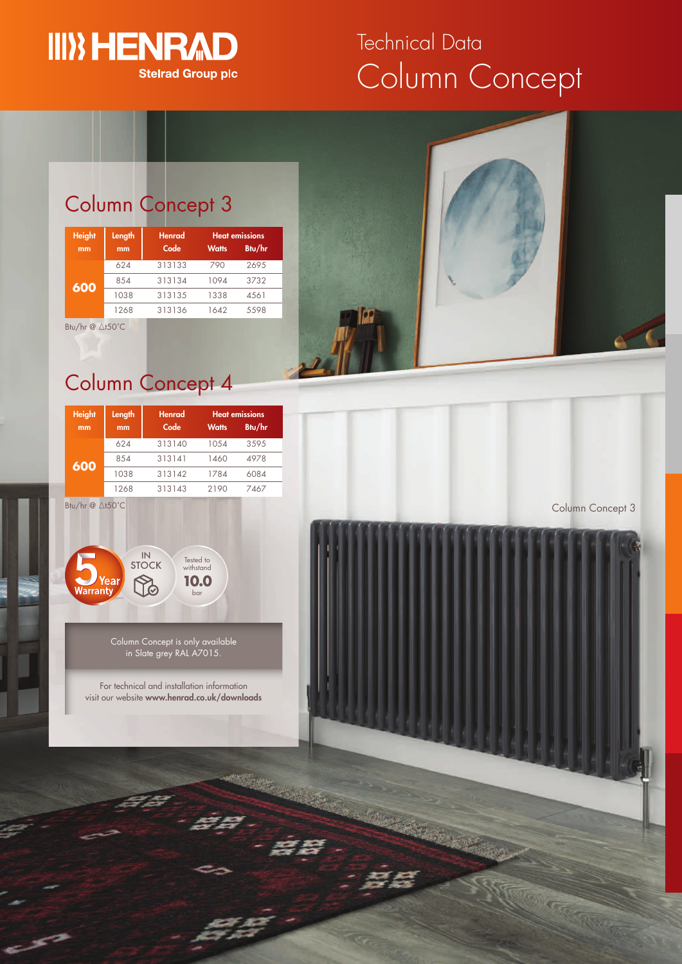

# Column Concept Technical Data

## Column Concept 3

| <b>Height</b> | Length | <b>Henrad</b> | <b>Heat emissions</b> |        |
|---------------|--------|---------------|-----------------------|--------|
| mm            | mm     | Code          | <b>Watts</b>          | Btu/hr |
| 600           | 624    | 313133        | 790                   | 2695   |
|               | 854    | 313134        | 1094                  | 3732   |
|               | 1038   | 313135        | 1338                  | 4561   |
|               | 1268   | 313136        | 1642                  | 5598   |

Btu/hr  $@$   $\triangle$ t50°C

## Column Concept 4

| <b>Height</b> | Length | <b>Henrad</b> | <b>Heat emissions</b> |        |
|---------------|--------|---------------|-----------------------|--------|
| mm            | mm     | Code          | <b>Watts</b>          | Btu/hr |
| 600           | 624    | 313140        | 1054                  | 3595   |
|               | 8.54   | 313141        | 1460                  | 4978   |
|               | 1038   | 313142        | 1784                  | 6084   |
|               | 1268   | 313143        | 2190                  | 7467   |

Btu/hr  $@$   $\triangle$ t50°C



Column Concept is only available in Slate grey RAL A7015.

For technical and installation information visit our website **www.henrad.co.uk/downloads**



Column Concept 3